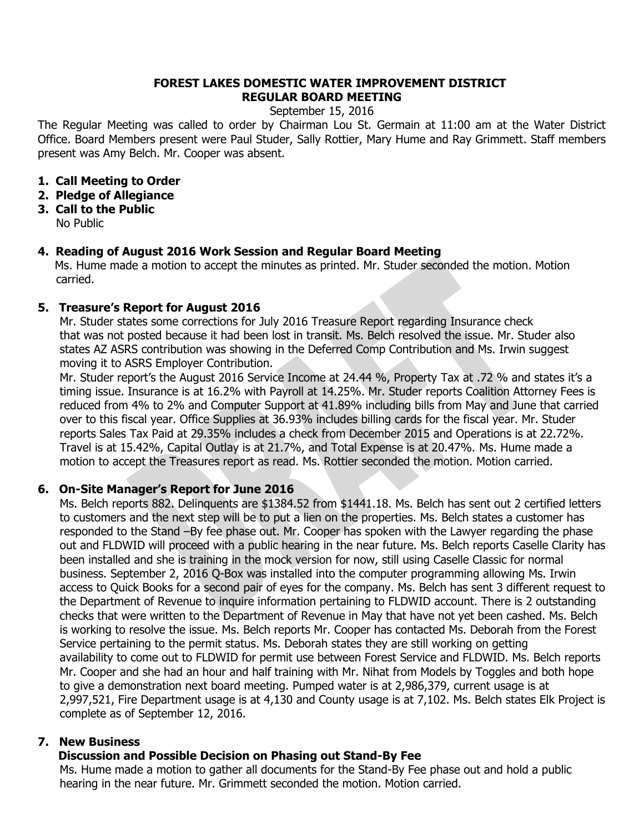## **FOREST LAKES DOMESTIC WATER IMPROVEMENT DISTRICT REGULAR BOARD MEETING**

September 15, 2016

The Regular Meeting was called to order by Chairman Lou St. Germain at 11:00 am at the Water District Office. Board Members present were Paul Studer, Sally Rottier, Mary Hume and Ray Grimmett. Staff members present was Amy Belch. Mr. Cooper was absent.

- **1. Call Meeting to Order**
- **2. Pledge of Allegiance**
- **3. Call to the Public** No Public

## **4. Reading of August 2016 Work Session and Regular Board Meeting**

Ms. Hume made a motion to accept the minutes as printed. Mr. Studer seconded the motion. Motion carried.

## **5. Treasure's Report for August 2016**

 Mr. Studer states some corrections for July 2016 Treasure Report regarding Insurance check that was not posted because it had been lost in transit. Ms. Belch resolved the issue. Mr. Studer also states AZ ASRS contribution was showing in the Deferred Comp Contribution and Ms. Irwin suggest moving it to ASRS Employer Contribution.

 Mr. Studer report's the August 2016 Service Income at 24.44 %, Property Tax at .72 % and states it's a timing issue. Insurance is at 16.2% with Payroll at 14.25%. Mr. Studer reports Coalition Attorney Fees is reduced from 4% to 2% and Computer Support at 41.89% including bills from May and June that carried over to this fiscal year. Office Supplies at 36.93% includes billing cards for the fiscal year. Mr. Studer reports Sales Tax Paid at 29.35% includes a check from December 2015 and Operations is at 22.72%. Travel is at 15.42%, Capital Outlay is at 21.7%, and Total Expense is at 20.47%. Ms. Hume made a motion to accept the Treasures report as read. Ms. Rottier seconded the motion. Motion carried.

# **6. On-Site Manager's Report for June 2016**

 Ms. Belch reports 882. Delinquents are \$1384.52 from \$1441.18. Ms. Belch has sent out 2 certified letters to customers and the next step will be to put a lien on the properties. Ms. Belch states a customer has responded to the Stand –By fee phase out. Mr. Cooper has spoken with the Lawyer regarding the phase out and FLDWID will proceed with a public hearing in the near future. Ms. Belch reports Caselle Clarity has been installed and she is training in the mock version for now, still using Caselle Classic for normal business. September 2, 2016 Q-Box was installed into the computer programming allowing Ms. Irwin access to Quick Books for a second pair of eyes for the company. Ms. Belch has sent 3 different request to the Department of Revenue to inquire information pertaining to FLDWID account. There is 2 outstanding checks that were written to the Department of Revenue in May that have not yet been cashed. Ms. Belch is working to resolve the issue. Ms. Belch reports Mr. Cooper has contacted Ms. Deborah from the Forest Service pertaining to the permit status. Ms. Deborah states they are still working on getting availability to come out to FLDWID for permit use between Forest Service and FLDWID. Ms. Belch reports Mr. Cooper and she had an hour and half training with Mr. Nihat from Models by Toggles and both hope to give a demonstration next board meeting. Pumped water is at 2,986,379, current usage is at 2,997,521, Fire Department usage is at 4,130 and County usage is at 7,102. Ms. Belch states Elk Project is complete as of September 12, 2016.

# **7. New Business**

# **Discussion and Possible Decision on Phasing out Stand-By Fee**

 Ms. Hume made a motion to gather all documents for the Stand-By Fee phase out and hold a public hearing in the near future. Mr. Grimmett seconded the motion. Motion carried.